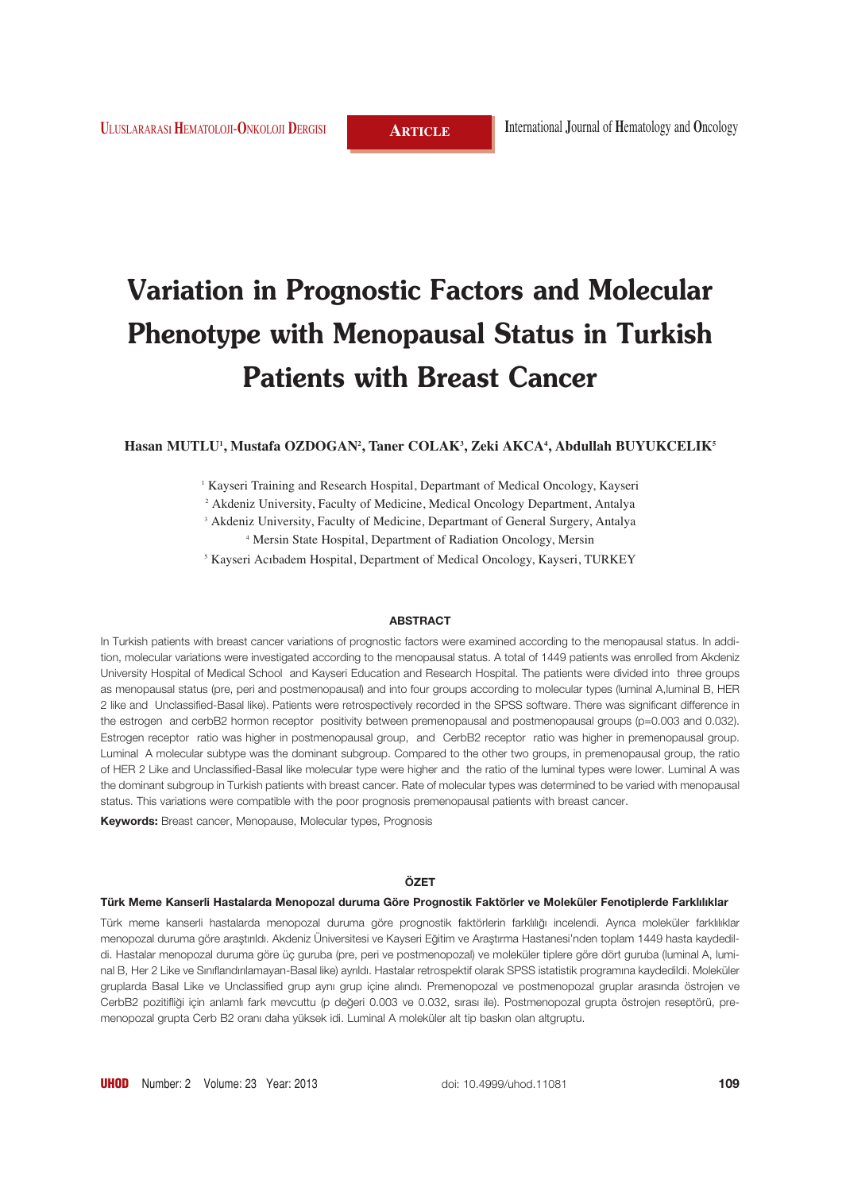# **Variation in Prognostic Factors and Molecular Phenotype with Menopausal Status in Turkish Patients with Breast Cancer**

#### **Hasan MUTLU1 , Mustafa OZDOGAN2 , Taner COLAK3 , Zeki AKCA4 , Abdullah BUYUKCELIK5**

<sup>1</sup> Kayseri Training and Research Hospital, Departmant of Medical Oncology, Kayseri

<sup>2</sup> Akdeniz University, Faculty of Medicine, Medical Oncology Department, Antalya

<sup>3</sup> Akdeniz University, Faculty of Medicine, Departmant of General Surgery, Antalya

<sup>4</sup> Mersin State Hospital, Department of Radiation Oncology, Mersin

<sup>5</sup> Kayseri Acıbadem Hospital, Department of Medical Oncology, Kayseri, TURKEY

#### **ABSTRACT**

In Turkish patients with breast cancer variations of prognostic factors were examined according to the menopausal status. In addition, molecular variations were investigated according to the menopausal status. A total of 1449 patients was enrolled from Akdeniz University Hospital of Medical School and Kayseri Education and Research Hospital. The patients were divided into three groups as menopausal status (pre, peri and postmenopausal) and into four groups according to molecular types (luminal A,luminal B, HER 2 like and Unclassified-Basal like). Patients were retrospectively recorded in the SPSS software. There was significant difference in the estrogen and cerbB2 hormon receptor positivity between premenopausal and postmenopausal groups (p=0.003 and 0.032). Estrogen receptor ratio was higher in postmenopausal group, and CerbB2 receptor ratio was higher in premenopausal group. Luminal A molecular subtype was the dominant subgroup. Compared to the other two groups, in premenopausal group, the ratio of HER 2 Like and Unclassified-Basal like molecular type were higher and the ratio of the luminal types were lower. Luminal A was the dominant subgroup in Turkish patients with breast cancer. Rate of molecular types was determined to be varied with menopausal status. This variations were compatible with the poor prognosis premenopausal patients with breast cancer.

**Keywords:** Breast cancer, Menopause, Molecular types, Prognosis

#### **ÖZET**

#### Türk Meme Kanserli Hastalarda Menopozal duruma Göre Prognostik Faktörler ve Moleküler Fenotiplerde Farklılıklar

Türk meme kanserli hastalarda menopozal duruma göre prognostik faktörlerin farklılığı incelendi. Ayrıca moleküler farklılıklar menopozal duruma göre arastırıldı. Akdeniz Üniversitesi ve Kayseri Eğitim ve Arastırma Hastanesi'nden toplam 1449 hasta kaydedildi. Hastalar menopozal duruma göre üç guruba (pre, peri ve postmenopozal) ve moleküler tiplere göre dört guruba (luminal A, luminal B, Her 2 Like ve Sınıflandırılamayan-Basal like) ayrıldı. Hastalar retrospektif olarak SPSS istatistik programına kaydedildi. Moleküler gruplarda Basal Like ve Unclassified grup aynı grup içine alındı. Premenopozal ve postmenopozal gruplar arasında östrojen ve CerbB2 pozitifliği için anlamlı fark mevcuttu (p değeri 0.003 ve 0.032, sırası ile). Postmenopozal grupta östrojen reseptörü, premenopozal grupta Cerb B2 oranı daha yüksek idi. Luminal A moleküler alt tip baskın olan altgruptu.

doi: 10.4999/uhod.11081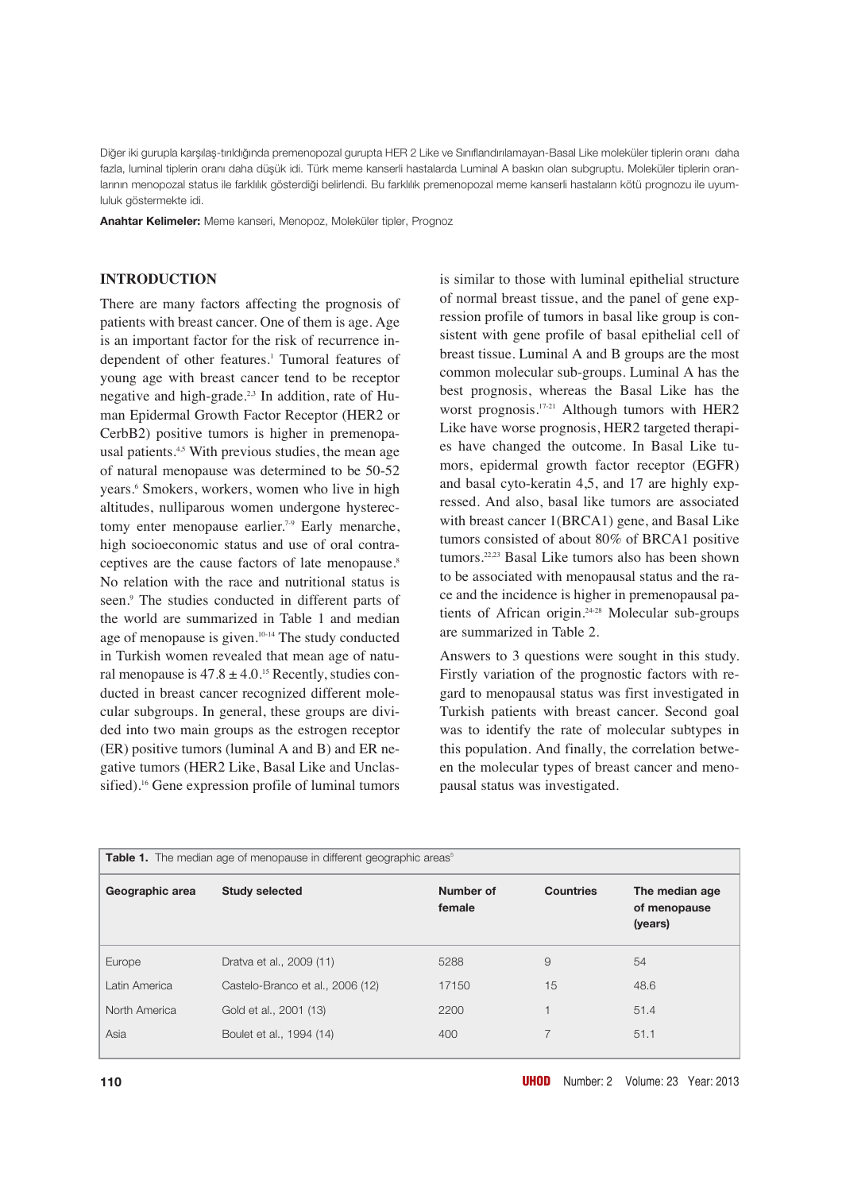Diğer iki gurupla karşılaş-tırıldığında premenopozal gurupta HER 2 Like ve Sınıflandırılamayan-Basal Like moleküler tiplerin oranı daha fazla, luminal tiplerin oranı daha düşük idi. Türk meme kanserli hastalarda Luminal A baskın olan subgruptu. Moleküler tiplerin oranlarının menopozal status ile farklılık gösterdiği belirlendi. Bu farklılık premenopozal meme kanserli hastaların kötü prognozu ile uyumluluk göstermekte idi.

**Anahtar Kelimeler:** Meme kanseri, Menopoz, Moleküler tipler, Prognoz

## **INTRODUCTION**

There are many factors affecting the prognosis of patients with breast cancer. One of them is age. Age is an important factor for the risk of recurrence independent of other features.<sup>1</sup> Tumoral features of young age with breast cancer tend to be receptor negative and high-grade.<sup>2,3</sup> In addition, rate of Human Epidermal Growth Factor Receptor (HER2 or CerbB2) positive tumors is higher in premenopausal patients.<sup>4,5</sup> With previous studies, the mean age of natural menopause was determined to be 50-52 years.6 Smokers, workers, women who live in high altitudes, nulliparous women undergone hysterectomy enter menopause earlier.<sup>7-9</sup> Early menarche, high socioeconomic status and use of oral contraceptives are the cause factors of late menopause.<sup>8</sup> No relation with the race and nutritional status is seen.<sup>9</sup> The studies conducted in different parts of the world are summarized in Table 1 and median age of menopause is given.10-14 The study conducted in Turkish women revealed that mean age of natural menopause is  $47.8 \pm 4.0$ .<sup>15</sup> Recently, studies conducted in breast cancer recognized different molecular subgroups. In general, these groups are divided into two main groups as the estrogen receptor (ER) positive tumors (luminal A and B) and ER negative tumors (HER2 Like, Basal Like and Unclassified).<sup>16</sup> Gene expression profile of luminal tumors

is similar to those with luminal epithelial structure of normal breast tissue, and the panel of gene expression profile of tumors in basal like group is consistent with gene profile of basal epithelial cell of breast tissue. Luminal A and B groups are the most common molecular sub-groups. Luminal A has the best prognosis, whereas the Basal Like has the worst prognosis.17-21 Although tumors with HER2 Like have worse prognosis, HER2 targeted therapies have changed the outcome. In Basal Like tumors, epidermal growth factor receptor (EGFR) and basal cyto-keratin 4,5, and 17 are highly expressed. And also, basal like tumors are associated with breast cancer 1(BRCA1) gene, and Basal Like tumors consisted of about 80% of BRCA1 positive tumors.<sup>22,23</sup> Basal Like tumors also has been shown to be associated with menopausal status and the race and the incidence is higher in premenopausal patients of African origin.24-28 Molecular sub-groups are summarized in Table 2.

Answers to 3 questions were sought in this study. Firstly variation of the prognostic factors with regard to menopausal status was first investigated in Turkish patients with breast cancer. Second goal was to identify the rate of molecular subtypes in this population. And finally, the correlation between the molecular types of breast cancer and menopausal status was investigated.

| Table 1. The median age of menopause in different geographic areas <sup>5</sup> |                                  |                     |                  |                                           |
|---------------------------------------------------------------------------------|----------------------------------|---------------------|------------------|-------------------------------------------|
| Geographic area                                                                 | <b>Study selected</b>            | Number of<br>female | <b>Countries</b> | The median age<br>of menopause<br>(years) |
| Europe                                                                          | Dratva et al., 2009 (11)         | 5288                | 9                | 54                                        |
| Latin America                                                                   | Castelo-Branco et al., 2006 (12) | 17150               | 15               | 48.6                                      |
| North America                                                                   | Gold et al., 2001 (13)           | 2200                | 1                | 51.4                                      |
| Asia                                                                            | Boulet et al., 1994 (14)         | 400                 | 7                | 51.1                                      |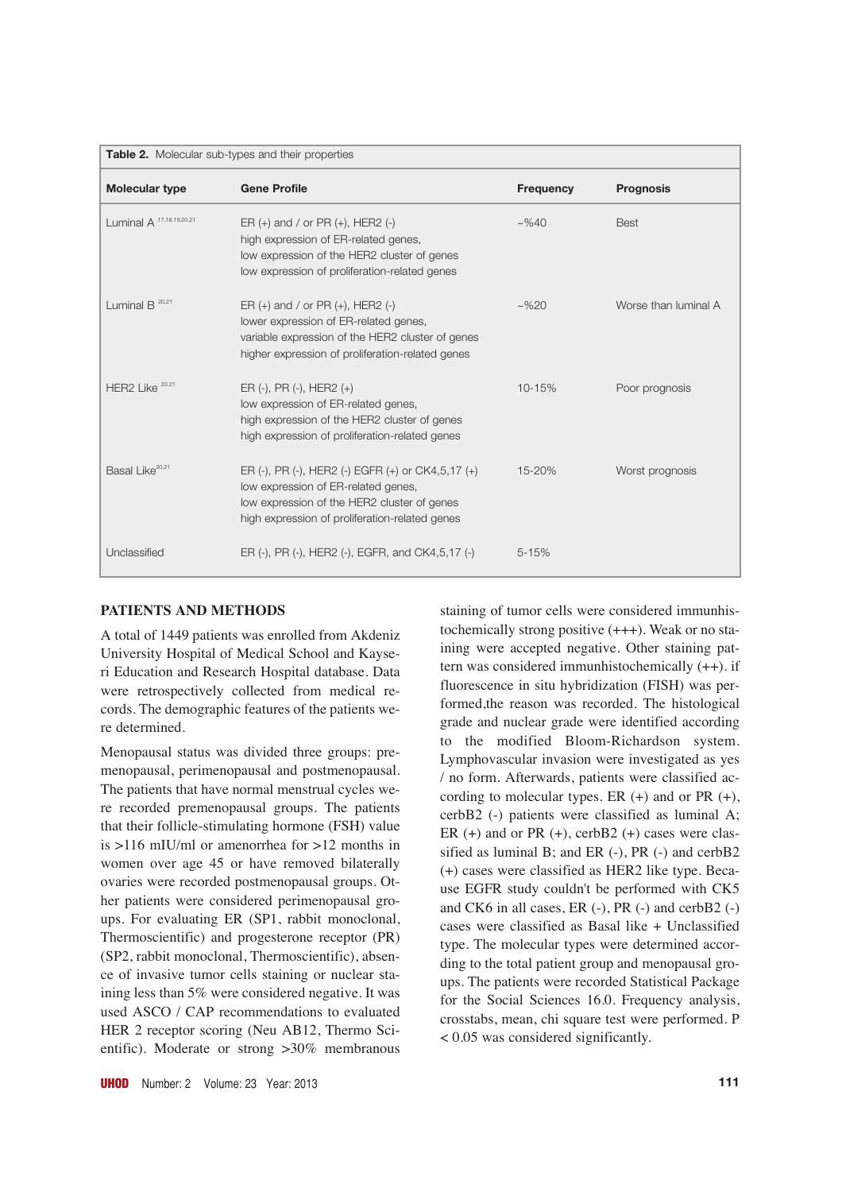| Table 2. Molecular sub-types and their properties |                                                                                                                                                                                           |                  |                      |  |
|---------------------------------------------------|-------------------------------------------------------------------------------------------------------------------------------------------------------------------------------------------|------------------|----------------------|--|
| Molecular type                                    | <b>Gene Profile</b>                                                                                                                                                                       | <b>Frequency</b> | <b>Prognosis</b>     |  |
| Luminal A <sup>17,18,19,20,21</sup>               | ER $(+)$ and / or PR $(+)$ , HER2 $(-)$<br>high expression of ER-related genes,<br>low expression of the HER2 cluster of genes<br>low expression of proliferation-related genes           | $~2\%40$         | <b>Best</b>          |  |
| Luminal $B^{20,21}$                               | ER $(+)$ and / or PR $(+)$ , HER2 $(-)$<br>lower expression of ER-related genes,<br>variable expression of the HER2 cluster of genes<br>higher expression of proliferation-related genes  | $~2\%20$         | Worse than luminal A |  |
| HER2 Like <sup>20.21</sup>                        | $ER (-), PR (-), HER2 (+)$<br>low expression of ER-related genes,<br>high expression of the HER2 cluster of genes<br>high expression of proliferation-related genes                       | $10 - 15%$       | Poor prognosis       |  |
| Basal Like <sup>20,21</sup>                       | ER (-), PR (-), HER2 (-) EGFR (+) or CK4,5,17 (+)<br>low expression of ER-related genes,<br>low expression of the HER2 cluster of genes<br>high expression of proliferation-related genes | 15-20%           | Worst prognosis      |  |
| Unclassified                                      | ER (-), PR (-), HER2 (-), EGFR, and CK4,5,17 (-)                                                                                                                                          | $5 - 15%$        |                      |  |

## **PATIENTS AND METHODS**

A total of 1449 patients was enrolled from Akdeniz University Hospital of Medical School and Kayseri Education and Research Hospital database. Data were retrospectively collected from medical records. The demographic features of the patients were determined.

Menopausal status was divided three groups: premenopausal, perimenopausal and postmenopausal. The patients that have normal menstrual cycles were recorded premenopausal groups. The patients that their follicle-stimulating hormone (FSH) value is >116 mIU/ml or amenorrhea for >12 months in women over age 45 or have removed bilaterally ovaries were recorded postmenopausal groups. Other patients were considered perimenopausal groups. For evaluating ER (SP1, rabbit monoclonal, Thermoscientific) and progesterone receptor (PR) (SP2, rabbit monoclonal, Thermoscientific), absence of invasive tumor cells staining or nuclear staining less than 5% were considered negative. It was used ASCO / CAP recommendations to evaluated HER 2 receptor scoring (Neu AB12, Thermo Scientific). Moderate or strong >30% membranous

staining of tumor cells were considered immunhistochemically strong positive (+++). Weak or no staining were accepted negative. Other staining pattern was considered immunhistochemically (++). if fluorescence in situ hybridization (FISH) was performed,the reason was recorded. The histological grade and nuclear grade were identified according to the modified Bloom-Richardson system. Lymphovascular invasion were investigated as yes / no form. Afterwards, patients were classified according to molecular types. ER  $(+)$  and or PR  $(+)$ , cerbB2 (-) patients were classified as luminal A; ER  $(+)$  and or PR  $(+)$ , cerbB2  $(+)$  cases were classified as luminal B; and ER (-), PR (-) and cerbB2 (+) cases were classified as HER2 like type. Because EGFR study couldn't be performed with CK5 and CK6 in all cases, ER (-), PR (-) and cerbB2 (-) cases were classified as Basal like + Unclassified type. The molecular types were determined according to the total patient group and menopausal groups. The patients were recorded Statistical Package for the Social Sciences 16.0. Frequency analysis, crosstabs, mean, chi square test were performed. P < 0.05 was considered significantly.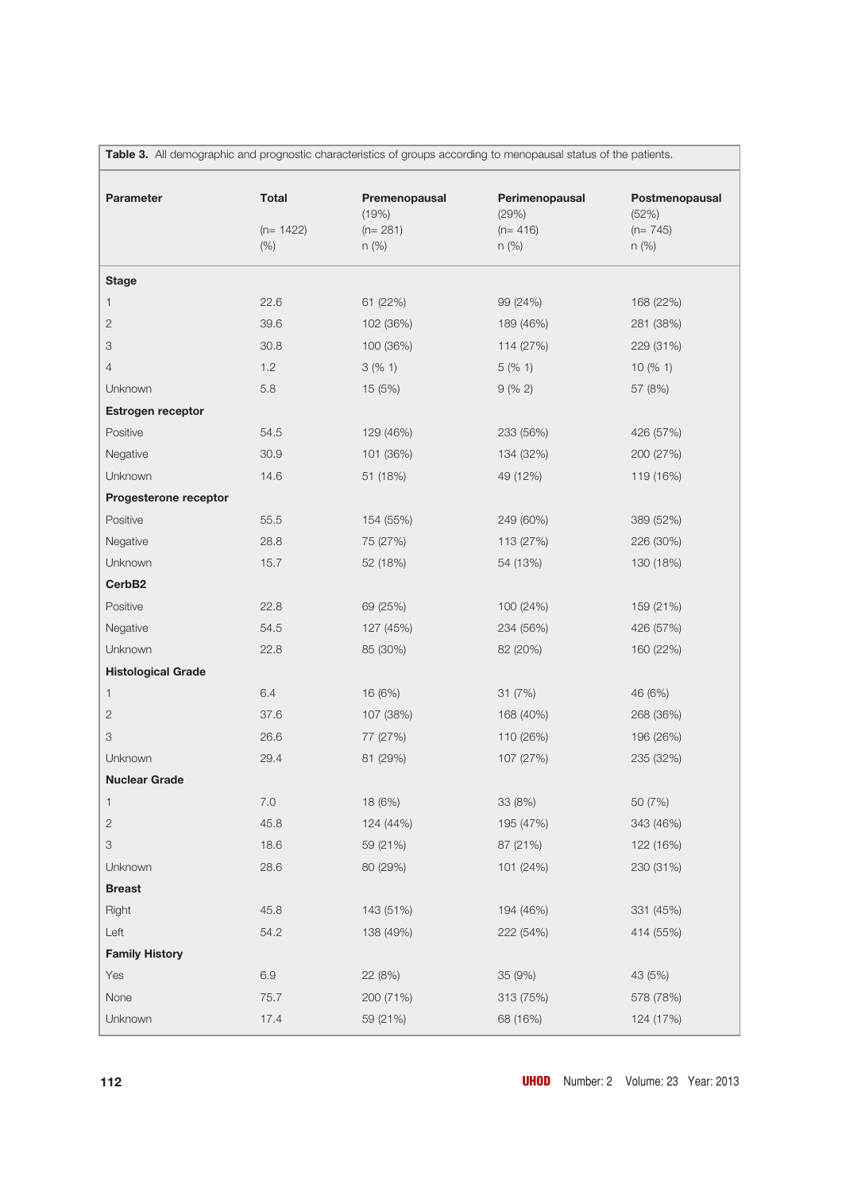| Table 3. All demographic and prognostic characteristics of groups according to menopausal status of the patients. |                                     |                                                |                                                 |                                                 |
|-------------------------------------------------------------------------------------------------------------------|-------------------------------------|------------------------------------------------|-------------------------------------------------|-------------------------------------------------|
| Parameter                                                                                                         | <b>Total</b><br>$(n= 1422)$<br>(% ) | Premenopausal<br>(19%)<br>$(n=281)$<br>$n$ (%) | Perimenopausal<br>(29%)<br>$(n=416)$<br>$n$ (%) | Postmenopausal<br>(52%)<br>$(n=745)$<br>$n$ (%) |
|                                                                                                                   |                                     |                                                |                                                 |                                                 |
| <b>Stage</b>                                                                                                      |                                     |                                                |                                                 |                                                 |
| 1                                                                                                                 | 22.6                                | 61 (22%)                                       | 99 (24%)                                        | 168 (22%)                                       |
| 2                                                                                                                 | 39.6                                | 102 (36%)                                      | 189 (46%)                                       | 281 (38%)                                       |
| 3                                                                                                                 | 30.8                                | 100 (36%)                                      | 114 (27%)                                       | 229 (31%)                                       |
| 4                                                                                                                 | 1.2                                 | 3(%1)                                          | 5(% 1)                                          | 10(% 1)                                         |
| Unknown                                                                                                           | 5.8                                 | 15 (5%)                                        | 9(% 2)                                          | 57 (8%)                                         |
| Estrogen receptor                                                                                                 |                                     |                                                |                                                 |                                                 |
| Positive                                                                                                          | 54.5                                | 129 (46%)                                      | 233 (56%)                                       | 426 (57%)                                       |
| Negative                                                                                                          | 30.9                                | 101 (36%)                                      | 134 (32%)                                       | 200 (27%)                                       |
| Unknown                                                                                                           | 14.6                                | 51 (18%)                                       | 49 (12%)                                        | 119 (16%)                                       |
| Progesterone receptor                                                                                             |                                     |                                                |                                                 |                                                 |
| Positive                                                                                                          | 55.5                                | 154 (55%)                                      | 249 (60%)                                       | 389 (52%)                                       |
| Negative                                                                                                          | 28.8                                | 75 (27%)                                       | 113 (27%)                                       | 226 (30%)                                       |
| Unknown                                                                                                           | 15.7                                | 52 (18%)                                       | 54 (13%)                                        | 130 (18%)                                       |
| CerbB <sub>2</sub>                                                                                                |                                     |                                                |                                                 |                                                 |
| Positive                                                                                                          | 22.8                                | 69 (25%)                                       | 100 (24%)                                       | 159 (21%)                                       |
| Negative                                                                                                          | 54.5                                | 127 (45%)                                      | 234 (56%)                                       | 426 (57%)                                       |
| Unknown                                                                                                           | 22.8                                | 85 (30%)                                       | 82 (20%)                                        | 160 (22%)                                       |
| <b>Histological Grade</b>                                                                                         |                                     |                                                |                                                 |                                                 |
| 1                                                                                                                 | 6.4                                 | 16 (6%)                                        | 31(7%)                                          | 46 (6%)                                         |
| $\mathbf{2}$                                                                                                      | 37.6                                | 107 (38%)                                      | 168 (40%)                                       | 268 (36%)                                       |
| 3                                                                                                                 | 26.6                                | 77 (27%)                                       | 110 (26%)                                       | 196 (26%)                                       |
| Unknown                                                                                                           | 29.4                                | 81 (29%)                                       | 107 (27%)                                       | 235 (32%)                                       |
| <b>Nuclear Grade</b>                                                                                              |                                     |                                                |                                                 |                                                 |
| 1                                                                                                                 | 7.0                                 | 18 (6%)                                        | 33 (8%)                                         | 50 (7%)                                         |
| $\mathbf{2}$                                                                                                      | 45.8                                | 124 (44%)                                      | 195 (47%)                                       | 343 (46%)                                       |
| 3                                                                                                                 | 18.6                                | 59 (21%)                                       | 87 (21%)                                        | 122 (16%)                                       |
| Unknown                                                                                                           | 28.6                                | 80 (29%)                                       | 101 (24%)                                       | 230 (31%)                                       |
| <b>Breast</b>                                                                                                     |                                     |                                                |                                                 |                                                 |
| Right                                                                                                             | 45.8                                | 143 (51%)                                      | 194 (46%)                                       | 331 (45%)                                       |
| Left                                                                                                              | 54.2                                | 138 (49%)                                      | 222 (54%)                                       | 414 (55%)                                       |
| <b>Family History</b>                                                                                             |                                     |                                                |                                                 |                                                 |
| Yes                                                                                                               | 6.9                                 | 22 (8%)                                        | 35 (9%)                                         | 43 (5%)                                         |
| None                                                                                                              | 75.7                                | 200 (71%)                                      | 313 (75%)                                       | 578 (78%)                                       |
|                                                                                                                   |                                     |                                                |                                                 |                                                 |
| Unknown                                                                                                           | 17.4                                | 59 (21%)                                       | 68 (16%)                                        | 124 (17%)                                       |

**112 UHOD** Number: 2 Volume: 23 Year: 2013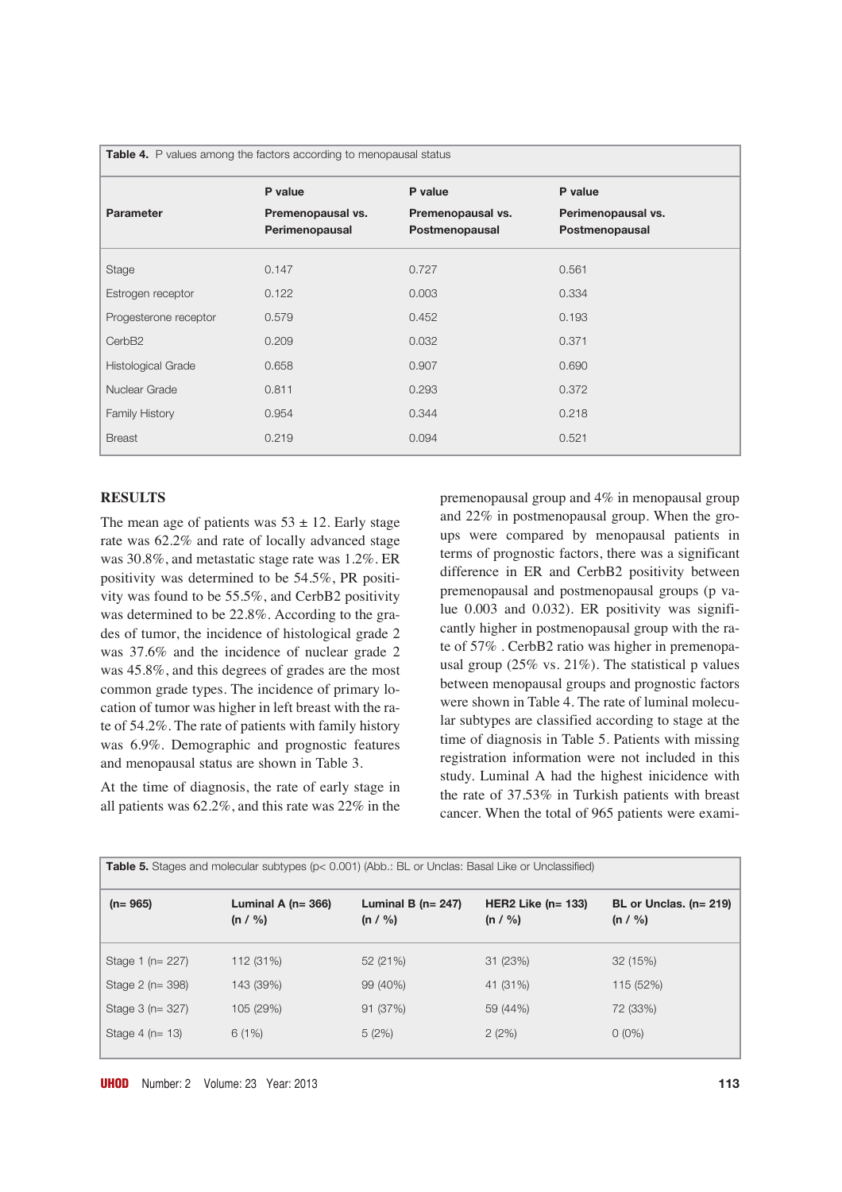| Table 4. P values among the factors according to menopausal status |                                     |                                     |                                      |  |
|--------------------------------------------------------------------|-------------------------------------|-------------------------------------|--------------------------------------|--|
|                                                                    | P value                             | P value                             | P value                              |  |
| <b>Parameter</b>                                                   | Premenopausal vs.<br>Perimenopausal | Premenopausal vs.<br>Postmenopausal | Perimenopausal vs.<br>Postmenopausal |  |
| Stage                                                              | 0.147                               | 0.727                               | 0.561                                |  |
| Estrogen receptor                                                  | 0.122                               | 0.003                               | 0.334                                |  |
| Progesterone receptor                                              | 0.579                               | 0.452                               | 0.193                                |  |
| Cerb <sub>B2</sub>                                                 | 0.209                               | 0.032                               | 0.371                                |  |
| Histological Grade                                                 | 0.658                               | 0.907                               | 0.690                                |  |
| Nuclear Grade                                                      | 0.811                               | 0.293                               | 0.372                                |  |
| <b>Family History</b>                                              | 0.954                               | 0.344                               | 0.218                                |  |
| <b>Breast</b>                                                      | 0.219                               | 0.094                               | 0.521                                |  |

### **RESULTS**

The mean age of patients was  $53 \pm 12$ . Early stage rate was 62.2% and rate of locally advanced stage was 30.8%, and metastatic stage rate was 1.2%. ER positivity was determined to be 54.5%, PR positivity was found to be 55.5%, and CerbB2 positivity was determined to be 22.8%. According to the grades of tumor, the incidence of histological grade 2 was 37.6% and the incidence of nuclear grade 2 was 45.8%, and this degrees of grades are the most common grade types. The incidence of primary location of tumor was higher in left breast with the rate of 54.2%. The rate of patients with family history was 6.9%. Demographic and prognostic features and menopausal status are shown in Table 3.

At the time of diagnosis, the rate of early stage in all patients was 62.2%, and this rate was 22% in the

premenopausal group and 4% in menopausal group and 22% in postmenopausal group. When the groups were compared by menopausal patients in terms of prognostic factors, there was a significant difference in ER and CerbB2 positivity between premenopausal and postmenopausal groups (p value 0.003 and 0.032). ER positivity was significantly higher in postmenopausal group with the rate of 57% . CerbB2 ratio was higher in premenopausal group  $(25\% \text{ vs. } 21\%)$ . The statistical p values between menopausal groups and prognostic factors were shown in Table 4. The rate of luminal molecular subtypes are classified according to stage at the time of diagnosis in Table 5. Patients with missing registration information were not included in this study. Luminal A had the highest inicidence with the rate of 37.53% in Turkish patients with breast cancer. When the total of 965 patients were exami-

| <b>Table 5.</b> Stages and molecular subtypes (p< 0.001) (Abb.: BL or Unclas: Basal Like or Unclassified) |                                    |                                    |                                |                                    |
|-----------------------------------------------------------------------------------------------------------|------------------------------------|------------------------------------|--------------------------------|------------------------------------|
| $(n=965)$                                                                                                 | Luminal A ( $n = 366$ )<br>(n / %) | Luminal B ( $n = 247$ )<br>(n / %) | HER2 Like $(n=133)$<br>(n / %) | BL or Unclas. $(n=219)$<br>(n / %) |
| Stage 1 (n = 227)                                                                                         | 112 (31%)                          | 52 (21%)                           | 31 (23%)                       | 32(15%)                            |
| Stage 2 (n= 398)                                                                                          | 143 (39%)                          | 99 (40%)                           | 41 (31%)                       | 115 (52%)                          |
| Stage 3 (n= 327)                                                                                          | 105 (29%)                          | 91 (37%)                           | 59 (44%)                       | 72 (33%)                           |
| Stage $4$ (n= 13)                                                                                         | 6(1%)                              | 5(2%)                              | 2(2%)                          | $0(0\%)$                           |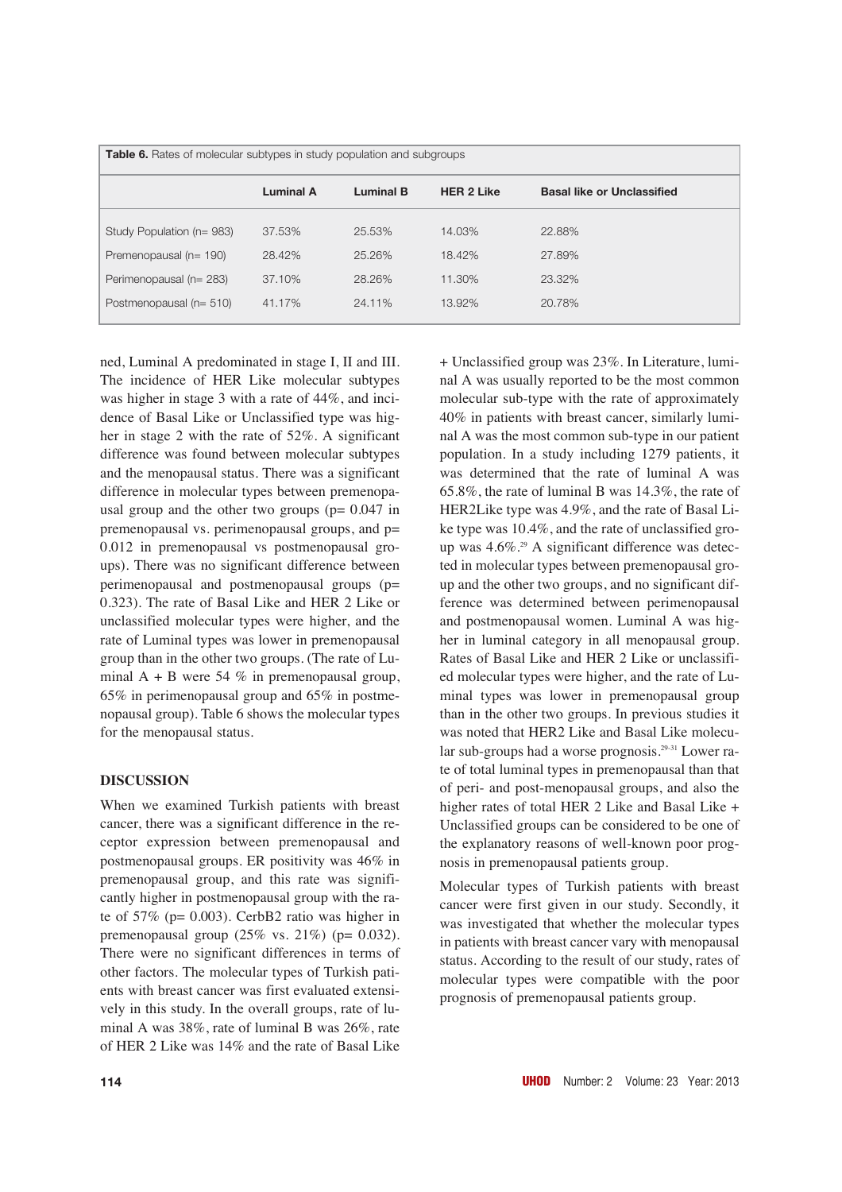| <b>Table 6.</b> Rates of molecular subtypes in study population and subgroups |                  |                  |                   |                                   |
|-------------------------------------------------------------------------------|------------------|------------------|-------------------|-----------------------------------|
|                                                                               | <b>Luminal A</b> | <b>Luminal B</b> | <b>HER 2 Like</b> | <b>Basal like or Unclassified</b> |
| Study Population (n= 983)                                                     | 37.53%           | 25.53%           | 14.03%            | 22.88%                            |
| Premenopausal (n= 190)                                                        | 28.42%           | 25.26%           | 18.42%            | 27.89%                            |
| Perimenopausal (n= 283)                                                       | 37.10%           | 28.26%           | 11.30%            | 23.32%                            |
| Postmenopausal (n= 510)                                                       | 41.17%           | 24.11%           | 13.92%            | 20.78%                            |

ned, Luminal A predominated in stage I, II and III. The incidence of HER Like molecular subtypes was higher in stage 3 with a rate of 44%, and incidence of Basal Like or Unclassified type was higher in stage 2 with the rate of 52%. A significant difference was found between molecular subtypes and the menopausal status. There was a significant difference in molecular types between premenopausal group and the other two groups ( $p = 0.047$  in premenopausal vs. perimenopausal groups, and p= 0.012 in premenopausal vs postmenopausal groups). There was no significant difference between perimenopausal and postmenopausal groups (p= 0.323). The rate of Basal Like and HER 2 Like or unclassified molecular types were higher, and the rate of Luminal types was lower in premenopausal group than in the other two groups. (The rate of Luminal  $A + B$  were 54 % in premenopausal group, 65% in perimenopausal group and 65% in postmenopausal group). Table 6 shows the molecular types for the menopausal status.

## **DISCUSSION**

When we examined Turkish patients with breast cancer, there was a significant difference in the receptor expression between premenopausal and postmenopausal groups. ER positivity was 46% in premenopausal group, and this rate was significantly higher in postmenopausal group with the rate of 57% (p= 0.003). CerbB2 ratio was higher in premenopausal group  $(25\% \text{ vs. } 21\%)$  (p= 0.032). There were no significant differences in terms of other factors. The molecular types of Turkish patients with breast cancer was first evaluated extensively in this study. In the overall groups, rate of luminal A was 38%, rate of luminal B was 26%, rate of HER 2 Like was 14% and the rate of Basal Like

+ Unclassified group was 23%. In Literature, luminal A was usually reported to be the most common molecular sub-type with the rate of approximately 40% in patients with breast cancer, similarly luminal A was the most common sub-type in our patient population. In a study including 1279 patients, it was determined that the rate of luminal A was 65.8%, the rate of luminal B was 14.3%, the rate of HER2Like type was 4.9%, and the rate of Basal Like type was 10.4%, and the rate of unclassified group was 4.6%.<sup>29</sup> A significant difference was detected in molecular types between premenopausal group and the other two groups, and no significant difference was determined between perimenopausal and postmenopausal women. Luminal A was higher in luminal category in all menopausal group. Rates of Basal Like and HER 2 Like or unclassified molecular types were higher, and the rate of Luminal types was lower in premenopausal group than in the other two groups. In previous studies it was noted that HER2 Like and Basal Like molecular sub-groups had a worse prognosis.<sup>29-31</sup> Lower rate of total luminal types in premenopausal than that of peri- and post-menopausal groups, and also the higher rates of total HER 2 Like and Basal Like + Unclassified groups can be considered to be one of the explanatory reasons of well-known poor prognosis in premenopausal patients group.

Molecular types of Turkish patients with breast cancer were first given in our study. Secondly, it was investigated that whether the molecular types in patients with breast cancer vary with menopausal status. According to the result of our study, rates of molecular types were compatible with the poor prognosis of premenopausal patients group.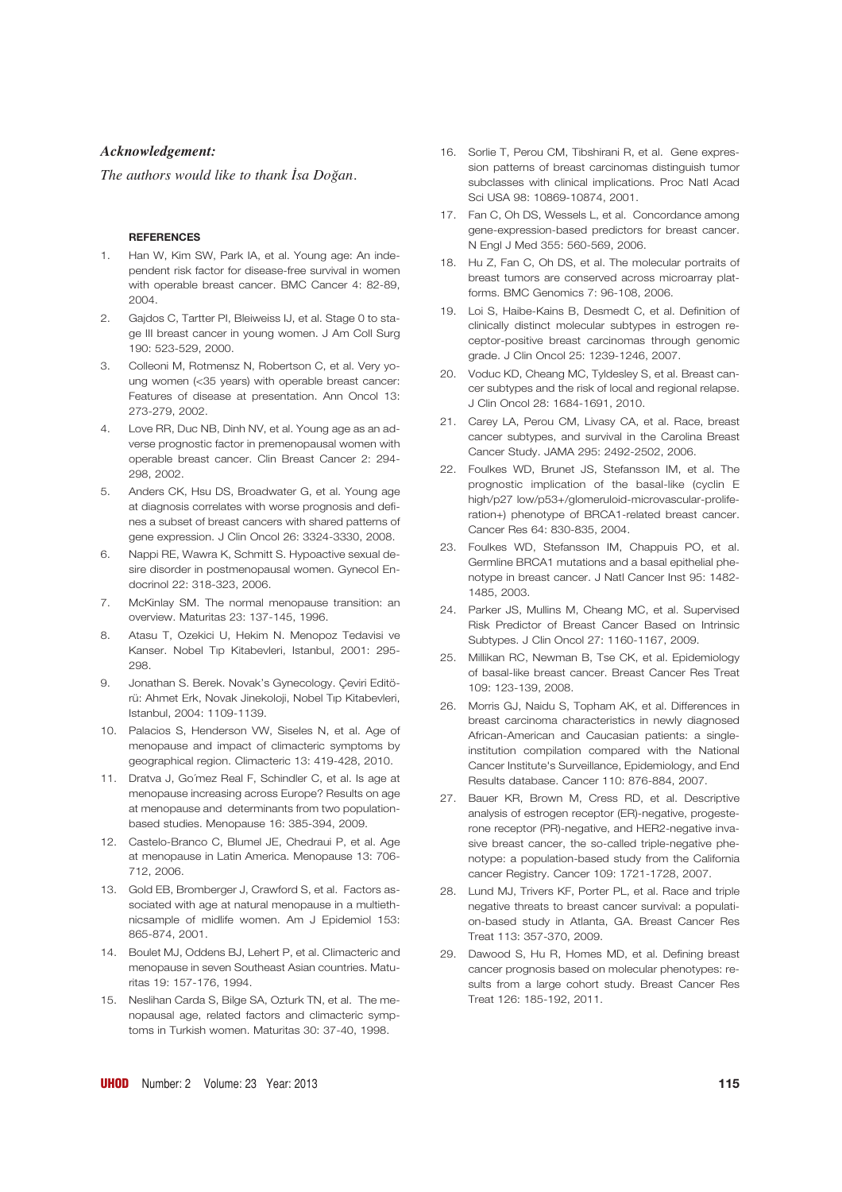### *Acknowledgement:*

*The authors would like to thank İsa Doğan.*

#### **REFERENCES**

- 1. Han W, Kim SW, Park IA, et al. Young age: An independent risk factor for disease-free survival in women with operable breast cancer. BMC Cancer 4: 82-89, 2004.
- 2. Gajdos C, Tartter PI, Bleiweiss IJ, et al. Stage 0 to stage III breast cancer in young women. J Am Coll Surg 190: 523-529, 2000.
- 3. Colleoni M, Rotmensz N, Robertson C, et al. Very young women (<35 years) with operable breast cancer: Features of disease at presentation. Ann Oncol 13: 273-279, 2002.
- 4. Love RR, Duc NB, Dinh NV, et al. Young age as an adverse prognostic factor in premenopausal women with operable breast cancer. Clin Breast Cancer 2: 294- 298, 2002.
- 5. Anders CK, Hsu DS, Broadwater G, et al. Young age at diagnosis correlates with worse prognosis and defines a subset of breast cancers with shared patterns of gene expression. J Clin Oncol 26: 3324-3330, 2008.
- 6. Nappi RE, Wawra K, Schmitt S. Hypoactive sexual desire disorder in postmenopausal women. Gynecol Endocrinol 22: 318-323, 2006.
- 7. McKinlay SM. The normal menopause transition: an overview. Maturitas 23: 137-145, 1996.
- 8. Atasu T, Ozekici U, Hekim N. Menopoz Tedavisi ve Kanser. Nobel Tıp Kitabevleri, Istanbul, 2001: 295-298.
- 9. Jonathan S. Berek. Novak's Gynecology. Çeviri Editörü: Ahmet Erk, Novak Jinekoloji, Nobel Tıp Kitabevleri, Istanbul, 2004: 1109-1139.
- 10. Palacios S, Henderson VW, Siseles N, et al. Age of menopause and impact of climacteric symptoms by geographical region. Climacteric 13: 419-428, 2010.
- 11. Dratva J, Go´mez Real F, Schindler C, et al. Is age at menopause increasing across Europe? Results on age at menopause and determinants from two populationbased studies. Menopause 16: 385-394, 2009.
- 12. Castelo-Branco C, Blumel JE, Chedraui P, et al. Age at menopause in Latin America. Menopause 13: 706- 712, 2006.
- 13. Gold EB, Bromberger J, Crawford S, et al. Factors associated with age at natural menopause in a multiethnicsample of midlife women. Am J Epidemiol 153: 865-874, 2001.
- 14. Boulet MJ, Oddens BJ, Lehert P, et al. Climacteric and menopause in seven Southeast Asian countries. Maturitas 19: 157-176, 1994.
- 15. Neslihan Carda S, Bilge SA, Ozturk TN, et al. The menopausal age, related factors and climacteric symptoms in Turkish women. Maturitas 30: 37-40, 1998.
- 16. Sorlie T, Perou CM, Tibshirani R, et al. Gene expression patterns of breast carcinomas distinguish tumor subclasses with clinical implications. Proc Natl Acad Sci USA 98: 10869-10874, 2001.
- 17. Fan C, Oh DS, Wessels L, et al. Concordance among gene-expression-based predictors for breast cancer. N Engl J Med 355: 560-569, 2006.
- 18. Hu Z, Fan C, Oh DS, et al. The molecular portraits of breast tumors are conserved across microarray platforms. BMC Genomics 7: 96-108, 2006.
- 19. Loi S, Haibe-Kains B, Desmedt C, et al. Definition of clinically distinct molecular subtypes in estrogen receptor-positive breast carcinomas through genomic grade. J Clin Oncol 25: 1239-1246, 2007.
- 20. Voduc KD, Cheang MC, Tyldesley S, et al. Breast cancer subtypes and the risk of local and regional relapse. J Clin Oncol 28: 1684-1691, 2010.
- 21. Carey LA, Perou CM, Livasy CA, et al. Race, breast cancer subtypes, and survival in the Carolina Breast Cancer Study. JAMA 295: 2492-2502, 2006.
- 22. Foulkes WD, Brunet JS, Stefansson IM, et al. The prognostic implication of the basal-like (cyclin E high/p27 low/p53+/glomeruloid-microvascular-proliferation+) phenotype of BRCA1-related breast cancer. Cancer Res 64: 830-835, 2004.
- 23. Foulkes WD, Stefansson IM, Chappuis PO, et al. Germline BRCA1 mutations and a basal epithelial phenotype in breast cancer. J Natl Cancer Inst 95: 1482- 1485, 2003.
- 24. Parker JS, Mullins M, Cheang MC, et al. Supervised Risk Predictor of Breast Cancer Based on Intrinsic Subtypes. J Clin Oncol 27: 1160-1167, 2009.
- 25. Millikan RC, Newman B, Tse CK, et al. Epidemiology of basal-like breast cancer. Breast Cancer Res Treat 109: 123-139, 2008.
- 26. Morris GJ, Naidu S, Topham AK, et al. Differences in breast carcinoma characteristics in newly diagnosed African-American and Caucasian patients: a singleinstitution compilation compared with the National Cancer Institute's Surveillance, Epidemiology, and End Results database. Cancer 110: 876-884, 2007.
- 27. Bauer KR, Brown M, Cress RD, et al. Descriptive analysis of estrogen receptor (ER)-negative, progesterone receptor (PR)-negative, and HER2-negative invasive breast cancer, the so-called triple-negative phenotype: a population-based study from the California cancer Registry. Cancer 109: 1721-1728, 2007.
- 28. Lund MJ, Trivers KF, Porter PL, et al. Race and triple negative threats to breast cancer survival: a population-based study in Atlanta, GA. Breast Cancer Res Treat 113: 357-370, 2009.
- 29. Dawood S, Hu R, Homes MD, et al. Defining breast cancer prognosis based on molecular phenotypes: results from a large cohort study. Breast Cancer Res Treat 126: 185-192, 2011.